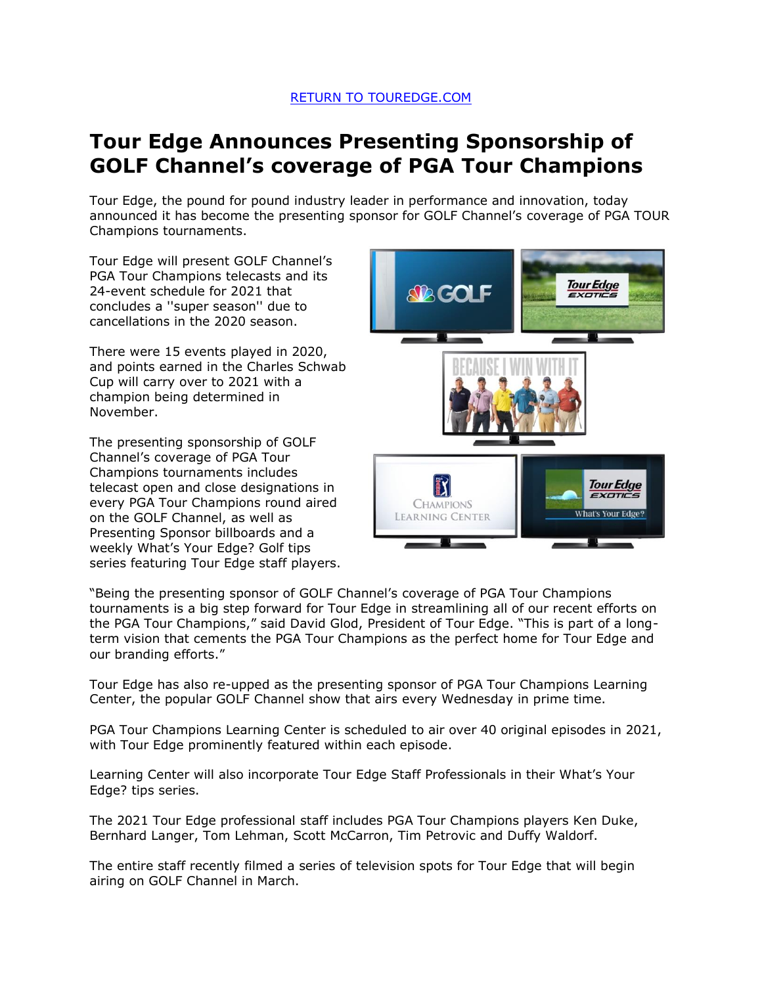## RETURN TO TOUREDGE.COM

## **Tour Edge Announces Presenting Sponsorship of GOLF Channel's coverage of PGA Tour Champions**

Tour Edge, the pound for pound industry leader in performance and innovation, today announced it has become the presenting sponsor for GOLF Channel's coverage of PGA TOUR Champions tournaments.

Tour Edge will present GOLF Channel's PGA Tour Champions telecasts and its 24-event schedule for 2021 that concludes a ''super season'' due to cancellations in the 2020 season.

There were 15 events played in 2020, and points earned in the Charles Schwab Cup will carry over to 2021 with a champion being determined in November.

The presenting sponsorship of GOLF Channel's coverage of PGA Tour Champions tournaments includes telecast open and close designations in every PGA Tour Champions round aired on the GOLF Channel, as well as Presenting Sponsor billboards and a weekly What's Your Edge? Golf tips series featuring Tour Edge staff players.



"Being the presenting sponsor of GOLF Channel's coverage of PGA Tour Champions tournaments is a big step forward for Tour Edge in streamlining all of our recent efforts on the PGA Tour Champions," said David Glod, President of Tour Edge. "This is part of a longterm vision that cements the PGA Tour Champions as the perfect home for Tour Edge and our branding efforts."

Tour Edge has also re-upped as the presenting sponsor of PGA Tour Champions Learning Center, the popular GOLF Channel show that airs every Wednesday in prime time.

PGA Tour Champions Learning Center is scheduled to air over 40 original episodes in 2021, with Tour Edge prominently featured within each episode.

Learning Center will also incorporate Tour Edge Staff Professionals in their What's Your Edge? tips series.

The 2021 Tour Edge professional staff includes PGA Tour Champions players Ken Duke, Bernhard Langer, Tom Lehman, Scott McCarron, Tim Petrovic and Duffy Waldorf.

The entire staff recently filmed a series of television spots for Tour Edge that will begin airing on GOLF Channel in March.